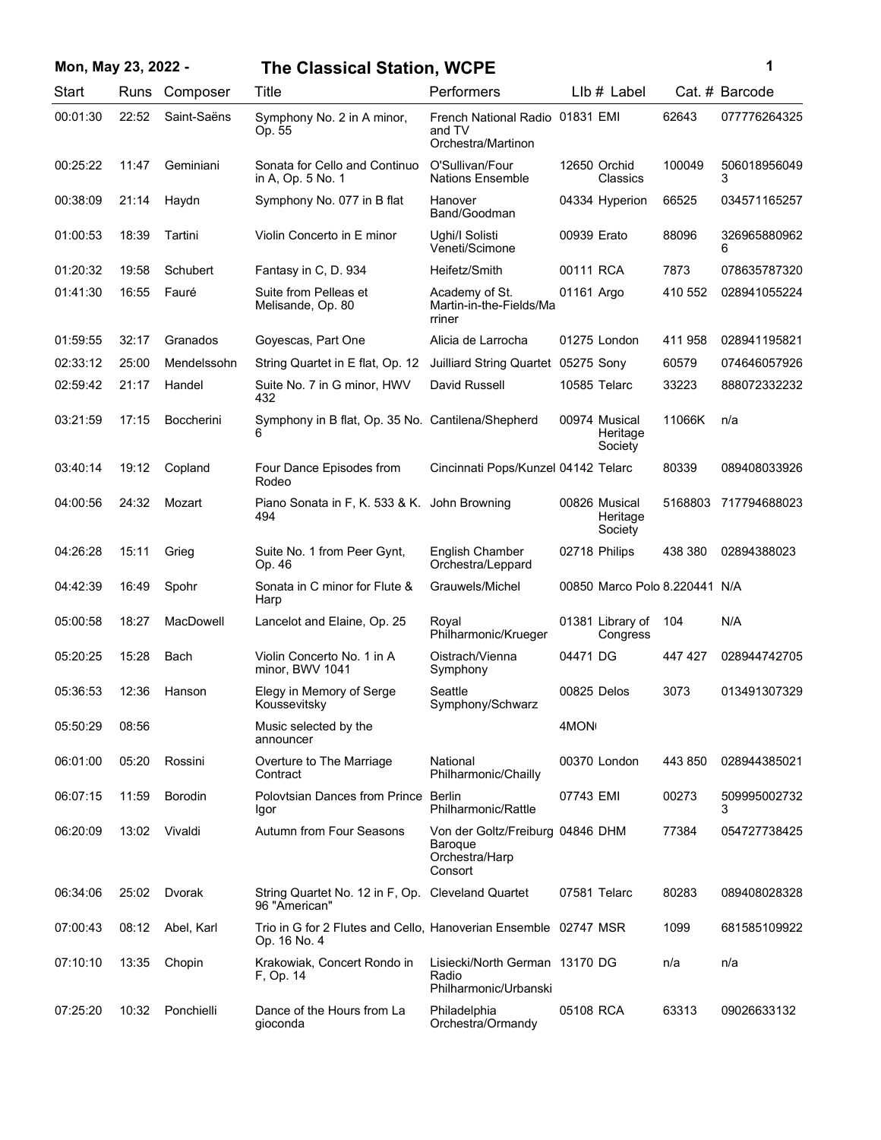| Mon, May 23, 2022 - |             |                  | <b>The Classical Station, WCPE</b>                                              |                                                                          |             |                                      |         | 1                 |
|---------------------|-------------|------------------|---------------------------------------------------------------------------------|--------------------------------------------------------------------------|-------------|--------------------------------------|---------|-------------------|
| Start               | <b>Runs</b> | Composer         | Title                                                                           | Performers                                                               |             | $Llb#$ Label                         |         | Cat. # Barcode    |
| 00:01:30            | 22:52       | Saint-Saëns      | Symphony No. 2 in A minor,<br>Op. 55                                            | French National Radio 01831 EMI<br>and TV<br>Orchestra/Martinon          |             |                                      | 62643   | 077776264325      |
| 00:25:22            | 11:47       | Geminiani        | Sonata for Cello and Continuo<br>in A, Op. 5 No. 1                              | O'Sullivan/Four<br><b>Nations Ensemble</b>                               |             | 12650 Orchid<br>Classics             | 100049  | 506018956049<br>3 |
| 00:38:09            | 21:14       | Haydn            | Symphony No. 077 in B flat                                                      | Hanover<br>Band/Goodman                                                  |             | 04334 Hyperion                       | 66525   | 034571165257      |
| 01:00:53            | 18:39       | Tartini          | Violin Concerto in E minor                                                      | Ughi/I Solisti<br>Veneti/Scimone                                         | 00939 Erato |                                      | 88096   | 326965880962<br>6 |
| 01:20:32            | 19:58       | Schubert         | Fantasy in C, D. 934                                                            | Heifetz/Smith                                                            | 00111 RCA   |                                      | 7873    | 078635787320      |
| 01:41:30            | 16:55       | Fauré            | Suite from Pelleas et<br>Melisande, Op. 80                                      | Academy of St.<br>Martin-in-the-Fields/Ma<br>rriner                      | 01161 Argo  |                                      | 410 552 | 028941055224      |
| 01:59:55            | 32:17       | Granados         | Goyescas, Part One                                                              | Alicia de Larrocha                                                       |             | 01275 London                         | 411 958 | 028941195821      |
| 02:33:12            | 25:00       | Mendelssohn      | String Quartet in E flat, Op. 12                                                | Juilliard String Quartet 05275 Sony                                      |             |                                      | 60579   | 074646057926      |
| 02:59:42            | 21:17       | Handel           | Suite No. 7 in G minor, HWV<br>432                                              | David Russell                                                            |             | 10585 Telarc                         | 33223   | 888072332232      |
| 03:21:59            | 17:15       | Boccherini       | Symphony in B flat, Op. 35 No. Cantilena/Shepherd<br>6                          |                                                                          |             | 00974 Musical<br>Heritage<br>Society | 11066K  | n/a               |
| 03:40:14            | 19:12       | Copland          | Four Dance Episodes from<br>Rodeo                                               | Cincinnati Pops/Kunzel 04142 Telarc                                      |             |                                      | 80339   | 089408033926      |
| 04:00:56            | 24:32       | Mozart           | Piano Sonata in F, K. 533 & K. John Browning<br>494                             |                                                                          |             | 00826 Musical<br>Heritage<br>Society | 5168803 | 717794688023      |
| 04:26:28            | 15:11       | Grieg            | Suite No. 1 from Peer Gynt,<br>Op. 46                                           | English Chamber<br>Orchestra/Leppard                                     |             | 02718 Philips                        | 438 380 | 02894388023       |
| 04:42:39            | 16:49       | Spohr            | Sonata in C minor for Flute &<br>Harp                                           | Grauwels/Michel                                                          |             | 00850 Marco Polo 8.220441 N/A        |         |                   |
| 05:00:58            | 18:27       | <b>MacDowell</b> | Lancelot and Elaine, Op. 25                                                     | Royal<br>Philharmonic/Krueger                                            |             | 01381 Library of<br>Congress         | 104     | N/A               |
| 05:20:25            | 15:28       | Bach             | Violin Concerto No. 1 in A<br>minor, BWV 1041                                   | Oistrach/Vienna<br>Symphony                                              | 04471 DG    |                                      | 447 427 | 028944742705      |
| 05:36:53            | 12:36       | Hanson           | Elegy in Memory of Serge<br>Koussevitsky                                        | Seattle<br>Symphony/Schwarz                                              |             | 00825 Delos                          | 3073    | 013491307329      |
| 05:50:29            | 08:56       |                  | Music selected by the<br>announcer                                              |                                                                          | 4MON        |                                      |         |                   |
| 06:01:00            | 05:20       | Rossini          | Overture to The Marriage<br>Contract                                            | National<br>Philharmonic/Chailly                                         |             | 00370 London                         | 443 850 | 028944385021      |
| 06:07:15            | 11:59       | <b>Borodin</b>   | Polovtsian Dances from Prince Berlin<br>Igor                                    | Philharmonic/Rattle                                                      | 07743 EMI   |                                      | 00273   | 509995002732<br>3 |
| 06:20:09            | 13:02       | Vivaldi          | Autumn from Four Seasons                                                        | Von der Goltz/Freiburg 04846 DHM<br>Baroque<br>Orchestra/Harp<br>Consort |             |                                      | 77384   | 054727738425      |
| 06:34:06            | 25:02       | Dvorak           | String Quartet No. 12 in F, Op. Cleveland Quartet<br>96 "American"              |                                                                          |             | 07581 Telarc                         | 80283   | 089408028328      |
| 07:00:43            | 08:12       | Abel, Karl       | Trio in G for 2 Flutes and Cello, Hanoverian Ensemble 02747 MSR<br>Op. 16 No. 4 |                                                                          |             |                                      | 1099    | 681585109922      |
| 07:10:10            | 13:35       | Chopin           | Krakowiak, Concert Rondo in<br>F, Op. 14                                        | Lisiecki/North German 13170 DG<br>Radio<br>Philharmonic/Urbanski         |             |                                      | n/a     | n/a               |
| 07:25:20            | 10:32       | Ponchielli       | Dance of the Hours from La<br>gioconda                                          | Philadelphia<br>Orchestra/Ormandy                                        | 05108 RCA   |                                      | 63313   | 09026633132       |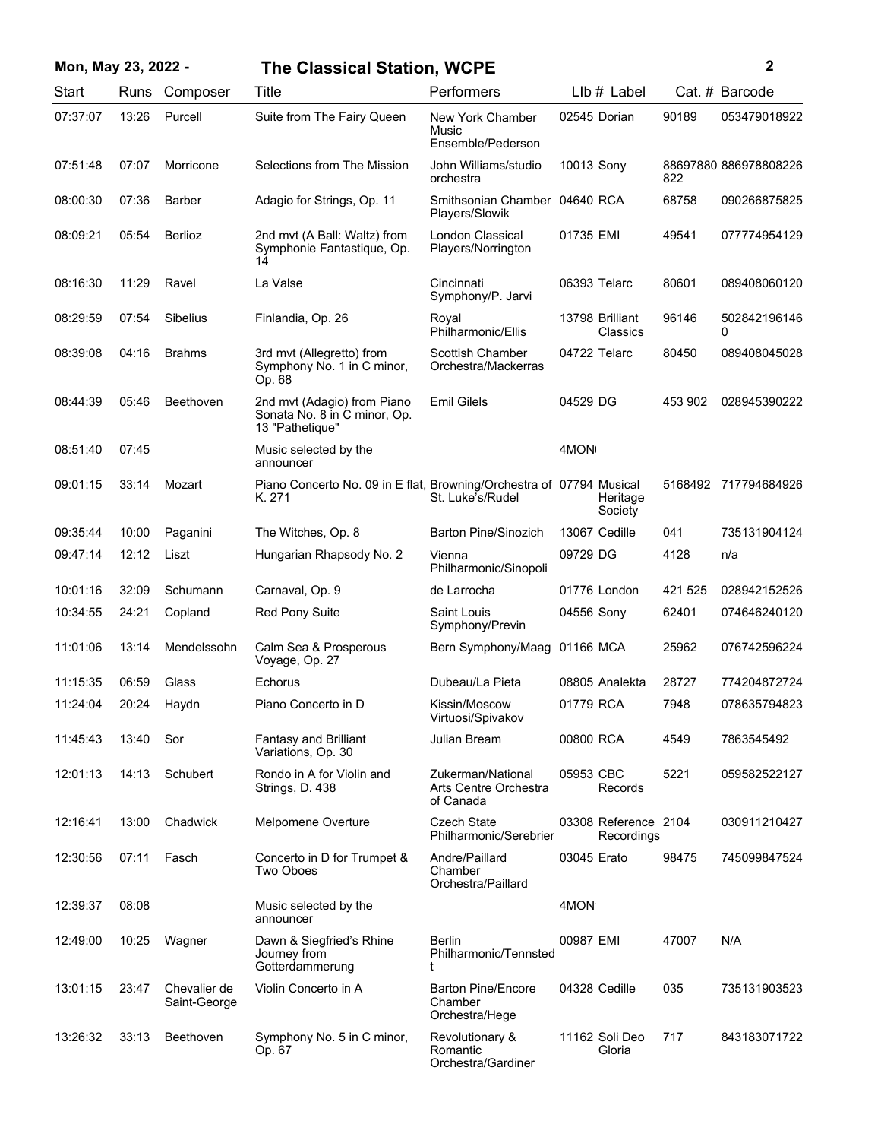| Mon, May 23, 2022 - |       |                              | <b>The Classical Station, WCPE</b>                                             |                                                         |             |                                    |         | 2                     |
|---------------------|-------|------------------------------|--------------------------------------------------------------------------------|---------------------------------------------------------|-------------|------------------------------------|---------|-----------------------|
| Start               | Runs  | Composer                     | Title                                                                          | Performers                                              |             | $Llb#$ Label                       |         | Cat. # Barcode        |
| 07:37:07            | 13:26 | Purcell                      | Suite from The Fairy Queen                                                     | New York Chamber<br>Music<br>Ensemble/Pederson          |             | 02545 Dorian                       | 90189   | 053479018922          |
| 07:51:48            | 07:07 | Morricone                    | Selections from The Mission                                                    | John Williams/studio<br>orchestra                       | 10013 Sony  |                                    | 822     | 88697880 886978808226 |
| 08:00:30            | 07:36 | Barber                       | Adagio for Strings, Op. 11                                                     | Smithsonian Chamber 04640 RCA<br>Players/Slowik         |             |                                    | 68758   | 090266875825          |
| 08:09:21            | 05:54 | Berlioz                      | 2nd mvt (A Ball: Waltz) from<br>Symphonie Fantastique, Op.<br>14               | London Classical<br>Players/Norrington                  | 01735 EMI   |                                    | 49541   | 077774954129          |
| 08:16:30            | 11:29 | Ravel                        | La Valse                                                                       | Cincinnati<br>Symphony/P. Jarvi                         |             | 06393 Telarc                       | 80601   | 089408060120          |
| 08:29:59            | 07:54 | Sibelius                     | Finlandia, Op. 26                                                              | Royal<br>Philharmonic/Ellis                             |             | 13798 Brilliant<br>Classics        | 96146   | 502842196146<br>0     |
| 08:39:08            | 04:16 | <b>Brahms</b>                | 3rd mvt (Allegretto) from<br>Symphony No. 1 in C minor,<br>Op. 68              | <b>Scottish Chamber</b><br>Orchestra/Mackerras          |             | 04722 Telarc                       | 80450   | 089408045028          |
| 08:44:39            | 05:46 | Beethoven                    | 2nd mvt (Adagio) from Piano<br>Sonata No. 8 in C minor, Op.<br>13 "Pathetique" | <b>Emil Gilels</b>                                      | 04529 DG    |                                    | 453 902 | 028945390222          |
| 08:51:40            | 07:45 |                              | Music selected by the<br>announcer                                             |                                                         | 4MON        |                                    |         |                       |
| 09:01:15            | 33:14 | Mozart                       | Piano Concerto No. 09 in E flat, Browning/Orchestra of 07794 Musical<br>K. 271 | St. Luke's/Rudel                                        |             | Heritage<br>Society                |         | 5168492 717794684926  |
| 09:35:44            | 10:00 | Paganini                     | The Witches, Op. 8                                                             | <b>Barton Pine/Sinozich</b>                             |             | 13067 Cedille                      | 041     | 735131904124          |
| 09:47:14            | 12:12 | Liszt                        | Hungarian Rhapsody No. 2                                                       | Vienna<br>Philharmonic/Sinopoli                         | 09729 DG    |                                    | 4128    | n/a                   |
| 10:01:16            | 32:09 | Schumann                     | Carnaval, Op. 9                                                                | de Larrocha                                             |             | 01776 London                       | 421 525 | 028942152526          |
| 10:34:55            | 24:21 | Copland                      | <b>Red Pony Suite</b>                                                          | Saint Louis<br>Symphony/Previn                          | 04556 Sony  |                                    | 62401   | 074646240120          |
| 11:01:06            | 13:14 | Mendelssohn                  | Calm Sea & Prosperous<br>Voyage, Op. 27                                        | Bern Symphony/Maag                                      | 01166 MCA   |                                    | 25962   | 076742596224          |
| 11:15:35            | 06:59 | Glass                        | Echorus                                                                        | Dubeau/La Pieta                                         |             | 08805 Analekta                     | 28727   | 774204872724          |
| 11:24:04            | 20:24 | Haydn                        | Piano Concerto in D                                                            | Kissin/Moscow<br>Virtuosi/Spivakov                      | 01779 RCA   |                                    | 7948    | 078635794823          |
| 11:45:43            | 13:40 | Sor                          | <b>Fantasy and Brilliant</b><br>Variations, Op. 30                             | Julian Bream                                            | 00800 RCA   |                                    | 4549    | 7863545492            |
| 12:01:13            | 14:13 | Schubert                     | Rondo in A for Violin and<br>Strings, D. 438                                   | Zukerman/National<br>Arts Centre Orchestra<br>of Canada | 05953 CBC   | Records                            | 5221    | 059582522127          |
| 12:16:41            | 13:00 | Chadwick                     | Melpomene Overture                                                             | <b>Czech State</b><br>Philharmonic/Serebrier            |             | 03308 Reference 2104<br>Recordings |         | 030911210427          |
| 12:30:56            | 07:11 | Fasch                        | Concerto in D for Trumpet &<br>Two Oboes                                       | Andre/Paillard<br>Chamber<br>Orchestra/Paillard         | 03045 Erato |                                    | 98475   | 745099847524          |
| 12:39:37            | 08:08 |                              | Music selected by the<br>announcer                                             |                                                         | 4MON        |                                    |         |                       |
| 12:49:00            | 10:25 | Wagner                       | Dawn & Siegfried's Rhine<br>Journey from<br>Gotterdammerung                    | Berlin<br>Philharmonic/Tennsted<br>t                    | 00987 EMI   |                                    | 47007   | N/A                   |
| 13:01:15            | 23:47 | Chevalier de<br>Saint-George | Violin Concerto in A                                                           | <b>Barton Pine/Encore</b><br>Chamber<br>Orchestra/Hege  |             | 04328 Cedille                      | 035     | 735131903523          |
| 13:26:32            | 33:13 | Beethoven                    | Symphony No. 5 in C minor,<br>Op. 67                                           | Revolutionary &<br>Romantic<br>Orchestra/Gardiner       |             | 11162 Soli Deo<br>Gloria           | 717     | 843183071722          |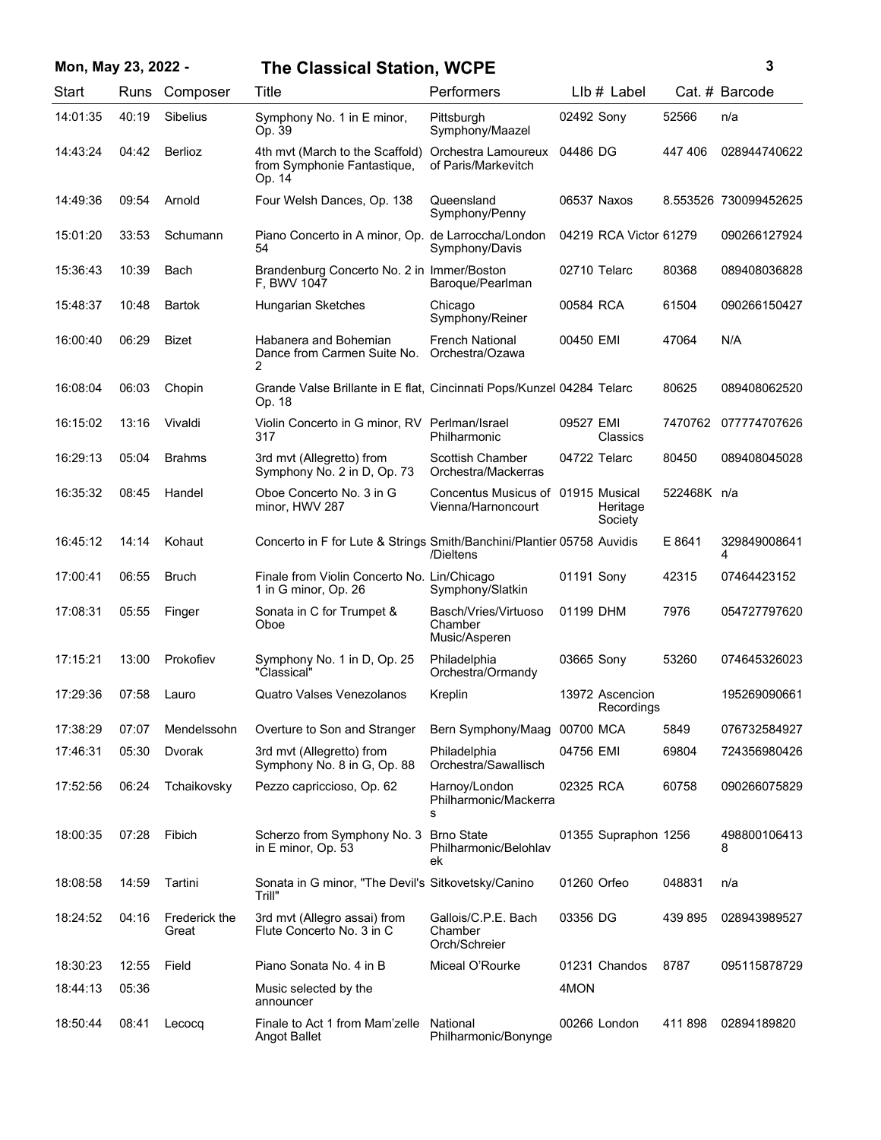| Mon, May 23, 2022 - |       |                        | <b>The Classical Station, WCPE</b>                                              |                                                          |              |                               |             | 3                     |
|---------------------|-------|------------------------|---------------------------------------------------------------------------------|----------------------------------------------------------|--------------|-------------------------------|-------------|-----------------------|
| Start               |       | Runs Composer          | Title                                                                           | Performers                                               |              | LIb # Label                   |             | Cat. # Barcode        |
| 14:01:35            | 40:19 | <b>Sibelius</b>        | Symphony No. 1 in E minor,<br>Op. 39                                            | Pittsburgh<br>Symphony/Maazel                            | 02492 Sony   |                               | 52566       | n/a                   |
| 14:43:24            | 04:42 | <b>Berlioz</b>         | 4th mvt (March to the Scaffold)<br>from Symphonie Fantastique,<br>Op. 14        | Orchestra Lamoureux<br>of Paris/Markevitch               | 04486 DG     |                               | 447 406     | 028944740622          |
| 14:49:36            | 09:54 | Arnold                 | Four Welsh Dances, Op. 138                                                      | Queensland<br>Symphony/Penny                             | 06537 Naxos  |                               |             | 8.553526 730099452625 |
| 15:01:20            | 33:53 | Schumann               | Piano Concerto in A minor, Op. de Larroccha/London<br>54                        | Symphony/Davis                                           |              | 04219 RCA Victor 61279        |             | 090266127924          |
| 15:36:43            | 10:39 | Bach                   | Brandenburg Concerto No. 2 in Immer/Boston<br>F. BWV 1047                       | Baroque/Pearlman                                         | 02710 Telarc |                               | 80368       | 089408036828          |
| 15:48:37            | 10:48 | Bartok                 | Hungarian Sketches                                                              | Chicago<br>Symphony/Reiner                               | 00584 RCA    |                               | 61504       | 090266150427          |
| 16:00:40            | 06:29 | <b>Bizet</b>           | Habanera and Bohemian<br>Dance from Carmen Suite No.<br>2                       | <b>French National</b><br>Orchestra/Ozawa                | 00450 EMI    |                               | 47064       | N/A                   |
| 16:08:04            | 06:03 | Chopin                 | Grande Valse Brillante in E flat, Cincinnati Pops/Kunzel 04284 Telarc<br>Op. 18 |                                                          |              |                               | 80625       | 089408062520          |
| 16:15:02            | 13:16 | Vivaldi                | Violin Concerto in G minor, RV Perlman/Israel<br>317                            | Philharmonic                                             | 09527 EMI    | Classics                      | 7470762     | 077774707626          |
| 16:29:13            | 05:04 | <b>Brahms</b>          | 3rd mvt (Allegretto) from<br>Symphony No. 2 in D, Op. 73                        | Scottish Chamber<br>Orchestra/Mackerras                  | 04722 Telarc |                               | 80450       | 089408045028          |
| 16:35:32            | 08:45 | Handel                 | Oboe Concerto No. 3 in G<br>minor, HWV 287                                      | Concentus Musicus of 01915 Musical<br>Vienna/Harnoncourt |              | Heritage<br>Society           | 522468K n/a |                       |
| 16:45:12            | 14:14 | Kohaut                 | Concerto in F for Lute & Strings Smith/Banchini/Plantier 05758 Auvidis          | /Dieltens                                                |              |                               | E 8641      | 329849008641<br>4     |
| 17:00:41            | 06:55 | <b>Bruch</b>           | Finale from Violin Concerto No. Lin/Chicago<br>1 in G minor, Op. 26             | Symphony/Slatkin                                         | 01191 Sony   |                               | 42315       | 07464423152           |
| 17:08:31            | 05:55 | Finger                 | Sonata in C for Trumpet &<br>Oboe                                               | Basch/Vries/Virtuoso<br>Chamber<br>Music/Asperen         | 01199 DHM    |                               | 7976        | 054727797620          |
| 17:15:21            | 13:00 | Prokofiev              | Symphony No. 1 in D, Op. 25<br>"Classical"                                      | Philadelphia<br>Orchestra/Ormandy                        | 03665 Sony   |                               | 53260       | 074645326023          |
| 17:29:36            | 07:58 | Lauro                  | Quatro Valses Venezolanos                                                       | Kreplin                                                  |              | 13972 Ascencion<br>Recordings |             | 195269090661          |
| 17:38:29            | 07:07 | Mendelssohn            | Overture to Son and Stranger                                                    | Bern Symphony/Maag                                       | 00700 MCA    |                               | 5849        | 076732584927          |
| 17:46:31            | 05:30 | Dvorak                 | 3rd mvt (Allegretto) from<br>Symphony No. 8 in G, Op. 88                        | Philadelphia<br>Orchestra/Sawallisch                     | 04756 EMI    |                               | 69804       | 724356980426          |
| 17:52:56            | 06:24 | Tchaikovsky            | Pezzo capriccioso, Op. 62                                                       | Harnoy/London<br>Philharmonic/Mackerra<br>s              | 02325 RCA    |                               | 60758       | 090266075829          |
| 18:00:35            | 07:28 | Fibich                 | Scherzo from Symphony No. 3<br>in E minor, Op. 53                               | <b>Brno State</b><br>Philharmonic/Belohlav<br>ek         |              | 01355 Supraphon 1256          |             | 498800106413<br>8     |
| 18:08:58            | 14:59 | Tartini                | Sonata in G minor, "The Devil's Sitkovetsky/Canino<br>Trill"                    |                                                          | 01260 Orfeo  |                               | 048831      | n/a                   |
| 18:24:52            | 04:16 | Frederick the<br>Great | 3rd mvt (Allegro assai) from<br>Flute Concerto No. 3 in C                       | Gallois/C.P.E. Bach<br>Chamber<br>Orch/Schreier          | 03356 DG     |                               | 439 895     | 028943989527          |
| 18:30:23            | 12:55 | Field                  | Piano Sonata No. 4 in B                                                         | Miceal O'Rourke                                          |              | 01231 Chandos                 | 8787        | 095115878729          |
| 18:44:13            | 05:36 |                        | Music selected by the<br>announcer                                              |                                                          | 4MON         |                               |             |                       |
| 18:50:44            | 08:41 | Lecocq                 | Finale to Act 1 from Mam'zelle<br>Angot Ballet                                  | National<br>Philharmonic/Bonynge                         |              | 00266 London                  | 411 898     | 02894189820           |